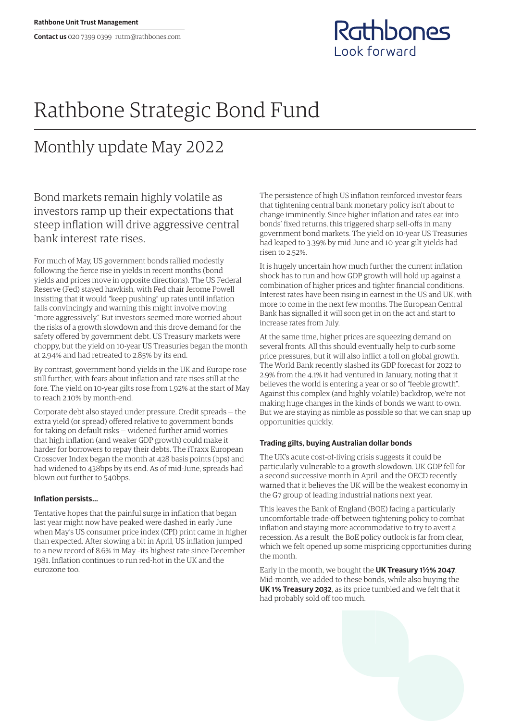

# Rathbone Strategic Bond Fund

## Monthly update May 2022

Bond markets remain highly volatile as investors ramp up their expectations that steep inflation will drive aggressive central bank interest rate rises.

For much of May, US government bonds rallied modestly following the fierce rise in yields in recent months (bond yields and prices move in opposite directions). The US Federal Reserve (Fed) stayed hawkish, with Fed chair Jerome Powell insisting that it would "keep pushing" up rates until inflation falls convincingly and warning this might involve moving "more aggressively." But investors seemed more worried about the risks of a growth slowdown and this drove demand for the safety offered by government debt. US Treasury markets were choppy, but the yield on 10-year US Treasuries began the month at 2.94% and had retreated to 2.85% by its end.

By contrast, government bond yields in the UK and Europe rose still further, with fears about inflation and rate rises still at the fore. The yield on 10-year gilts rose from 1.92% at the start of May to reach 2.10% by month-end.

Corporate debt also stayed under pressure. Credit spreads — the extra yield (or spread) offered relative to government bonds for taking on default risks — widened further amid worries that high inflation (and weaker GDP growth) could make it harder for borrowers to repay their debts. The iTraxx European Crossover Index began the month at 428 basis points (bps) and had widened to 438bps by its end. As of mid-June, spreads had blown out further to 540bps.

#### **Inflation persists…**

Tentative hopes that the painful surge in inflation that began last year might now have peaked were dashed in early June when May's US consumer price index (CPI) print came in higher than expected. After slowing a bit in April, US inflation jumped to a new record of 8.6% in May –its highest rate since December 1981. Inflation continues to run red-hot in the UK and the eurozone too.

The persistence of high US inflation reinforced investor fears that tightening central bank monetary policy isn't about to change imminently. Since higher inflation and rates eat into bonds' fixed returns, this triggered sharp sell-offs in many government bond markets. The yield on 10-year US Treasuries had leaped to 3.39% by mid-June and 10-year gilt yields had risen to 2.52%.

It is hugely uncertain how much further the current inflation shock has to run and how GDP growth will hold up against a combination of higher prices and tighter financial conditions. Interest rates have been rising in earnest in the US and UK, with more to come in the next few months. The European Central Bank has signalled it will soon get in on the act and start to increase rates from July.

At the same time, higher prices are squeezing demand on several fronts. All this should eventually help to curb some price pressures, but it will also inflict a toll on global growth. The World Bank recently slashed its GDP forecast for 2022 to 2.9% from the 4.1% it had ventured in January, noting that it believes the world is entering a year or so of "feeble growth". Against this complex (and highly volatile) backdrop, we're not making huge changes in the kinds of bonds we want to own. But we are staying as nimble as possible so that we can snap up opportunities quickly.

#### **Trading gilts, buying Australian dollar bonds**

The UK's acute cost-of-living crisis suggests it could be particularly vulnerable to a growth slowdown. UK GDP fell for a second successive month in April and the OECD recently warned that it believes the UK will be the weakest economy in the G7 group of leading industrial nations next year.

This leaves the Bank of England (BOE) facing a particularly uncomfortable trade-off between tightening policy to combat inflation and staying more accommodative to try to avert a recession. As a result, the BoE policy outlook is far from clear, which we felt opened up some mispricing opportunities during the month.

Early in the month, we bought the **UK Treasury 1½% 2047**. Mid-month, we added to these bonds, while also buying the **UK 1% Treasury 2032**, as its price tumbled and we felt that it had probably sold off too much.